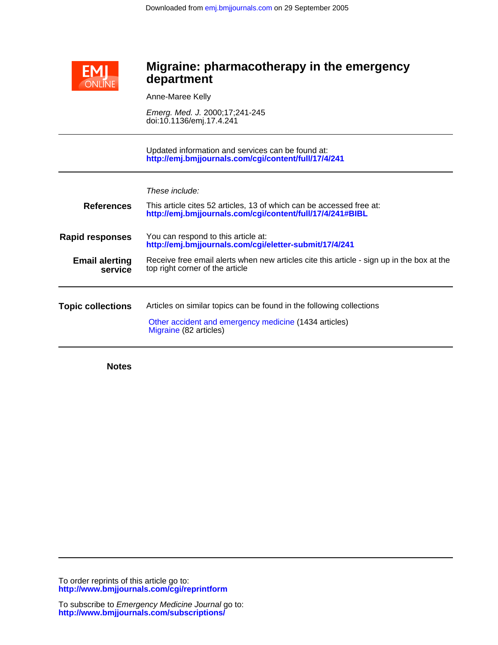

# **department Migraine: pharmacotherapy in the emergency**

Anne-Maree Kelly

doi:10.1136/emj.17.4.241 Emerg. Med. J. 2000;17;241-245

**<http://emj.bmjjournals.com/cgi/content/full/17/4/241>** Updated information and services can be found at:

| These include: |  |
|----------------|--|
|----------------|--|

| <b>References</b>                | This article cites 52 articles, 13 of which can be accessed free at:<br>http://emj.bmjjournals.com/cgi/content/full/17/4/241#BIBL                       |
|----------------------------------|---------------------------------------------------------------------------------------------------------------------------------------------------------|
| <b>Rapid responses</b>           | You can respond to this article at:<br>http://emj.bmjjournals.com/cgi/eletter-submit/17/4/241                                                           |
| <b>Email alerting</b><br>service | Receive free email alerts when new articles cite this article - sign up in the box at the<br>top right corner of the article                            |
| <b>Topic collections</b>         | Articles on similar topics can be found in the following collections<br>Other accident and emergency medicine (1434 articles)<br>Migraine (82 articles) |
|                                  |                                                                                                                                                         |

**Notes**

**<http://www.bmjjournals.com/cgi/reprintform>** To order reprints of this article go to: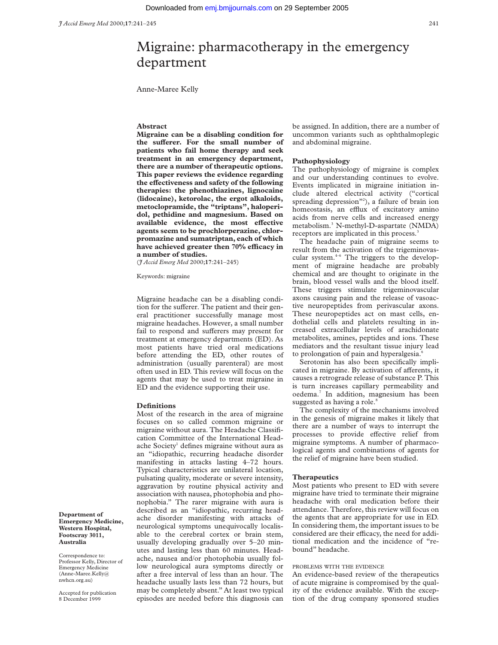# Migraine: pharmacotherapy in the emergency department

Anne-Maree Kelly

# **Abstract**

**Migraine can be a disabling condition for** the sufferer. For the small number of **patients who fail home therapy and seek treatment in an emergency department, there are a number of therapeutic options. This paper reviews the evidence regarding** the effectiveness and safety of the following **therapies: the phenothiazines, lignocaine (lidocaine), ketorolac, the ergot alkaloids, metoclopramide, the "triptans", haloperidol, pethidine and magnesium. Based on** available evidence, the most effective **agents seem to be prochlorperazine, chlorpromazine and sumatriptan, each of which** have achieved greater then 70% efficacy in **a number of studies.**

(*J Accid Emerg Med* 2000;**17**:241–245)

Keywords: migraine

Migraine headache can be a disabling condition for the sufferer. The patient and their general practitioner successfully manage most migraine headaches. However, a small number fail to respond and sufferers may present for treatment at emergency departments (ED). As most patients have tried oral medications before attending the ED, other routes of administration (usually parenteral) are most often used in ED. This review will focus on the agents that may be used to treat migraine in ED and the evidence supporting their use.

### **Definitions**

Most of the research in the area of migraine focuses on so called common migraine or migraine without aura. The Headache Classification Committee of the International Headache Society<sup>1</sup> defines migraine without aura as an "idiopathic, recurring headache disorder manifesting in attacks lasting 4–72 hours. Typical characteristics are unilateral location, pulsating quality, moderate or severe intensity, aggravation by routine physical activity and association with nausea, photophobia and phonophobia." The rarer migraine with aura is described as an "idiopathic, recurring headache disorder manifesting with attacks of neurological symptoms unequivocally localisable to the cerebral cortex or brain stem, usually developing gradually over 5–20 minutes and lasting less than 60 minutes. Headache, nausea and/or photophobia usually follow neurological aura symptoms directly or after a free interval of less than an hour. The headache usually lasts less than 72 hours, but may be completely absent." At least two typical episodes are needed before this diagnosis can

be assigned. In addition, there are a number of uncommon variants such as ophthalmoplegic and abdominal migraine.

## **Pathophysiology**

The pathophysiology of migraine is complex and our understanding continues to evolve. Events implicated in migraine initiation include altered electrical activity ("cortical spreading depression"<sup>2</sup>), a failure of brain ion homeostasis, an efflux of excitatory amino acids from nerve cells and increased energy metabolism.3 N-methyl-D-aspartate (NMDA) receptors are implicated in this process.<sup>3</sup>

The headache pain of migraine seems to result from the activation of the trigeminovascular system.<sup>4-6</sup> The triggers to the development of migraine headache are probably chemical and are thought to originate in the brain, blood vessel walls and the blood itself. These triggers stimulate trigeminovascular axons causing pain and the release of vasoactive neuropeptides from perivascular axons. These neuropeptides act on mast cells, endothelial cells and platelets resulting in increased extracellular levels of arachidonate metabolites, amines, peptides and ions. These mediators and the resultant tissue injury lead to prolongation of pain and hyperalgesia.<sup>6</sup>

Serotonin has also been specifically implicated in migraine. By activation of afferents, it causes a retrograde release of substance P. This is turn increases capillary permeability and oedema.7 In addition, magnesium has been suggested as having a role.<sup>8</sup>

The complexity of the mechanisms involved in the genesis of migraine makes it likely that there are a number of ways to interrupt the processes to provide effective relief from migraine symptoms. A number of pharmacological agents and combinations of agents for the relief of migraine have been studied.

#### **Therapeutics**

Most patients who present to ED with severe migraine have tried to terminate their migraine headache with oral medication before their attendance. Therefore, this review will focus on the agents that are appropriate for use in ED. In considering them, the important issues to be considered are their efficacy, the need for additional medication and the incidence of "rebound" headache.

## PROBLEMS WITH THE EVIDENCE

An evidence-based review of the therapeutics of acute migraine is compromised by the quality of the evidence available. With the exception of the drug company sponsored studies

**Department of Emergency Medicine, Western Hospital, Footscray 3011, Australia**

Correspondence to: Professor Kelly, Director of Emergency Medicine (Anne-Maree.Kelly@ nwhcn.org.au)

Accepted for publication 8 December 1999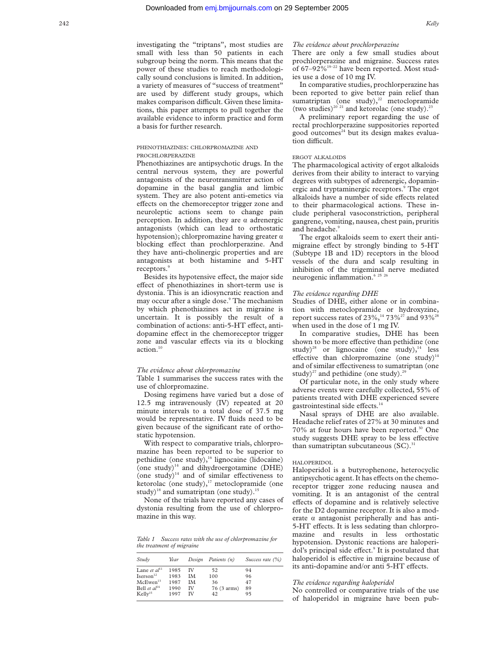investigating the "triptans", most studies are small with less than 50 patients in each subgroup being the norm. This means that the power of these studies to reach methodologically sound conclusions is limited. In addition, a variety of measures of "success of treatment" are used by different study groups, which makes comparison difficult. Given these limitations, this paper attempts to pull together the available evidence to inform practice and form a basis for further research.

# PHENOTHIAZINES: CHLORPROMAZINE AND PROCHLORPERAZINE

Phenothiazines are antipsychotic drugs. In the central nervous system, they are powerful antagonists of the neurotransmitter action of dopamine in the basal ganglia and limbic system. They are also potent anti-emetics via effects on the chemoreceptor trigger zone and neuroleptic actions seem to change pain perception. In addition, they are  $\alpha$  adrenergic antagonists (which can lead to orthostatic hypotension); chlorpromazine having greater  $\alpha$ blocking effect than prochlorperazine. And they have anti-cholinergic properties and are antagonists at both histamine and 5-HT receptors.<sup>9</sup>

Besides its hypotensive effect, the major side effect of phenothiazines in short-term use is dystonia. This is an idiosyncratic reaction and may occur after a single dose.<sup>9</sup> The mechanism by which phenothiazines act in migraine is uncertain. It is possibly the result of a combination of actions: anti-5-HT effect, antidopamine effect in the chemoreceptor trigger zone and vascular effects via its  $\alpha$  blocking  $\arctan$ <sup>10</sup>

# *The evidence about chlorpromazine*

Table 1 summarises the success rates with the use of chlorpromazine.

Dosing regimens have varied but a dose of 12.5 mg intravenously (IV) repeated at 20 minute intervals to a total dose of 37.5 mg would be representative. IV fluids need to be given because of the significant rate of orthostatic hypotension.

With respect to comparative trials, chlorpromazine has been reported to be superior to pethidine (one study),<sup>16</sup> lignocaine (lidocaine) (one study) $14$  and dihydroergotamine (DHE) (one study) $14$  and of similar effectiveness to ketorolac (one study), $17$  metoclopramide (one study)<sup>18</sup> and sumatriptan (one study).<sup>15</sup>

None of the trials have reported any cases of dystonia resulting from the use of chlorpromazine in this way.

*Table 1 Success rates with the use of chlorpromazine for the treatment of migraine*

| Study                 | Year | Design | Patients (n) | Success rate $(\%)$ |
|-----------------------|------|--------|--------------|---------------------|
| Lane et $al11$        | 1985 | ΙV     | 52           | 94                  |
| Iserson <sup>12</sup> | 1983 | IΜ     | 100          | 96                  |
| McEwen <sup>13</sup>  | 1987 | IΜ     | 36           | 47                  |
| Bell et $al^{14}$     | 1990 | ΙV     | 76 (3 arms)  | 89                  |
| Kellv <sup>15</sup>   | 1997 | īν     | 42           | 95                  |

## *The evidence about prochlorperazine*

There are only a few small studies about prochlorperazine and migraine. Success rates of 67-92%<sup>19-22</sup> have been reported. Most studies use a dose of 10 mg IV.

In comparative studies, prochlorperazine has been reported to give better pain relief than sumatriptan (one study), $22$  metoclopramide (two studies)<sup>20</sup><sup>21</sup> and ketorolac (one study).<sup>23</sup>

A preliminary report regarding the use of rectal prochlorperazine suppositories reported good outcomes $24$  but its design makes evaluation difficult.

# ERGOT ALKALOIDS

The pharmacological activity of ergot alkaloids derives from their ability to interact to varying degrees with subtypes of adrenergic, dopaminergic and tryptaminergic receptors.<sup>9</sup> The ergot alkaloids have a number of side effects related to their pharmacological actions. These include peripheral vasoconstriction, peripheral gangrene, vomiting, nausea, chest pain, pruritis and headache.<sup>9</sup>

The ergot alkaloids seem to exert their antimigraine effect by strongly binding to 5-HT (Subtype 1B and 1D) receptors in the blood vessels of the dura and scalp resulting in inhibition of the trigeminal nerve mediated neurogenic inflammation.<sup>6</sup> 25 26

## *The evidence regarding DHE*

Studies of DHE, either alone or in combination with metoclopramide or hydroxyzine, report success rates of  $23\%$ ,<sup>14</sup>  $73\%$ <sup>27</sup> and  $93\%$ <sup>28</sup> when used in the dose of 1 mg IV.

In comparative studies, DHE has been shown to be more effective than pethidine (one study)<sup>28</sup> or lignocaine (one study), $14$  less effective than chlorpromazine (one study) $14$ and of similar effectiveness to sumatriptan (one study)<sup>27</sup> and pethidine (one study).<sup>29</sup>

Of particular note, in the only study where adverse events were carefully collected, 55% of patients treated with DHE experienced severe gastrointestinal side effects. $14$ 

Nasal sprays of DHE are also available. Headache relief rates of 27% at 30 minutes and 70% at four hours have been reported.<sup>30</sup> One study suggests DHE spray to be less effective than sumatriptan subcutaneous  $(SC).$ <sup>31</sup>

## HALOPERIDOL

Haloperidol is a butyrophenone, heterocyclic antipsychotic agent. It has effects on the chemoreceptor trigger zone reducing nausea and vomiting. It is an antagonist of the central effects of dopamine and is relatively selective for the D2 dopamine receptor. It is also a moderate  $\alpha$  antagonist peripherally and has anti-5-HT effects. It is less sedating than chlorpromazine and results in less orthostatic hypotension. Dystonic reactions are haloperidol's principal side effect.<sup>9</sup> It is postulated that haloperidol is effective in migraine because of its anti-dopamine and/or anti 5-HT effects.

## *The evidence regarding haloperidol*

No controlled or comparative trials of the use of haloperidol in migraine have been pub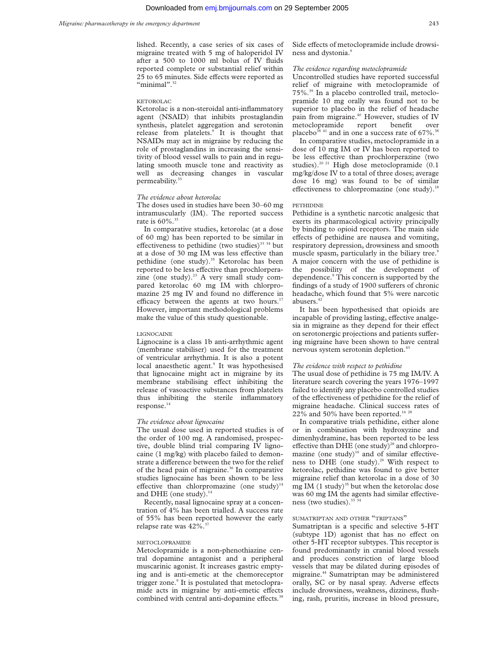lished. Recently, a case series of six cases of migraine treated with 5 mg of haloperidol IV after a 500 to 1000 ml bolus of IV fluids reported complete or substantial relief within 25 to 65 minutes. Side effects were reported as "minimal".<sup>32</sup>

#### KETOROLAC

Ketorolac is a non-steroidal anti-inflammatory agent (NSAID) that inhibits prostaglandin synthesis, platelet aggregation and serotonin release from platelets.<sup>9</sup> It is thought that NSAIDs may act in migraine by reducing the role of prostaglandins in increasing the sensitivity of blood vessel walls to pain and in regulating smooth muscle tone and reactivity as well as decreasing changes in vascular permeability.<sup>33</sup>

## *The evidence about ketorolac*

The doses used in studies have been 30–60 mg intramuscularly (IM). The reported success rate is  $60\%$ <sup>33</sup>

In comparative studies, ketorolac (at a dose of 60 mg) has been reported to be similar in effectiveness to pethidine (two studies)<sup>33 34</sup> but at a dose of 30 mg IM was less effective than pethidine (one study).<sup>35</sup> Ketorolac has been reported to be less effective than prochlorperazine (one study).<sup>23</sup> A very small study compared ketorolac 60 mg IM with chlorpromazine 25 mg IV and found no difference in efficacy between the agents at two hours.<sup>17</sup> However, important methodological problems make the value of this study questionable.

#### LIGNOCAINE

Lignocaine is a class 1b anti-arrhythmic agent (membrane stabiliser) used for the treatment of ventricular arrhythmia. It is also a potent local anaesthetic agent.<sup>9</sup> It was hypothesised that lignocaine might act in migraine by its membrane stabilising effect inhibiting the release of vasoactive substances from platelets thus inhibiting the sterile inflammatory response. $14$ 

#### *The evidence about lignocaine*

The usual dose used in reported studies is of the order of 100 mg. A randomised, prospective, double blind trial comparing IV lignocaine (1 mg/kg) with placebo failed to demonstrate a difference between the two for the relief of the head pain of migraine.<sup>36</sup> In comparative studies lignocaine has been shown to be less effective than chlorpromazine (one study)<sup>14</sup> and DHE (one study). $14$ 

Recently, nasal lignocaine spray at a concentration of 4% has been trialled. A success rate of 55% has been reported however the early relapse rate was 42%.37

#### METOCLOPRAMIDE

Metoclopramide is a non-phenothiazine central dopamine antagonist and a peripheral muscarinic agonist. It increases gastric emptying and is anti-emetic at the chemoreceptor trigger zone.<sup>9</sup> It is postulated that metoclopramide acts in migraine by anti-emetic effects combined with central anti-dopamine effects.<sup>38</sup>

Side effects of metoclopramide include drowsiness and dystonia.<sup>9</sup>

## *The evidence regarding metoclopramide*

Uncontrolled studies have reported successful relief of migraine with metoclopramide of 75%.39 In a placebo controlled trail, metoclopramide 10 mg orally was found not to be superior to placebo in the relief of headache pain from migraine.<sup>40</sup> However, studies of IV metoclopramide report benefit over placebo<sup>38 41</sup> and in one a success rate of  $67\%$ .<sup>38</sup>

In comparative studies, metoclopramide in a dose of 10 mg IM or IV has been reported to be less effective than prochlorperazine (two studies).<sup>20 21</sup> High dose metoclopramide (0.1 mg/kg/dose IV to a total of three doses; average dose 16 mg) was found to be of similar effectiveness to chlorpromazine (one study).<sup>1</sup>

#### PETHIDINE

Pethidine is a synthetic narcotic analgesic that exerts its pharmacological activity principally by binding to opioid receptors. The main side effects of pethidine are nausea and vomiting, respiratory depression, drowsiness and smooth muscle spasm, particularly in the biliary tree.<sup>9</sup> A major concern with the use of pethidine is the possibility of the development of dependence.9 This concern is supported by the findings of a study of 1900 sufferers of chronic headache, which found that 5% were narcotic abusers.<sup>42</sup>

It has been hypothesised that opioids are incapable of providing lasting, effective analgesia in migraine as they depend for their effect on serotonergic projections and patients suffering migraine have been shown to have central nervous system serotonin depletion.<sup>43</sup>

#### *The evidence with respect to pethidine*

The usual dose of pethidine is 75 mg IM/IV. A literature search covering the years 1976–1997 failed to identify any placebo controlled studies of the effectiveness of pethidine for the relief of migraine headache. Clinical success rates of  $22\%$  and 50% have been reported.<sup>16 28</sup>

In comparative trials pethidine, either alone or in combination with hydroxyzine and dimenhydramine, has been reported to be less effective than DHE (one study)<sup>28</sup> and chlorpromazine (one study) $16$  and of similar effectiveness to DHE (one study). $29$  With respect to ketorolac, pethidine was found to give better migraine relief than ketorolac in a dose of 30 mg IM  $(1 \text{ study})^{35}$  but when the ketorolac dose was 60 mg IM the agents had similar effectiveness (two studies).<sup>33</sup><sup>34</sup>

## SUMATRIPTAN AND OTHER "TRIPTANS"

Sumatriptan is a specific and selective 5-HT  $subtype 1D)$  agonist that has no effect on other 5-HT receptor subtypes. This receptor is found predominantly in cranial blood vessels and produces constriction of large blood vessels that may be dilated during episodes of migraine.44 Sumatriptan may be administered orally, SC or by nasal spray. Adverse effects include drowsiness, weakness, dizziness, flushing, rash, pruritis, increase in blood pressure,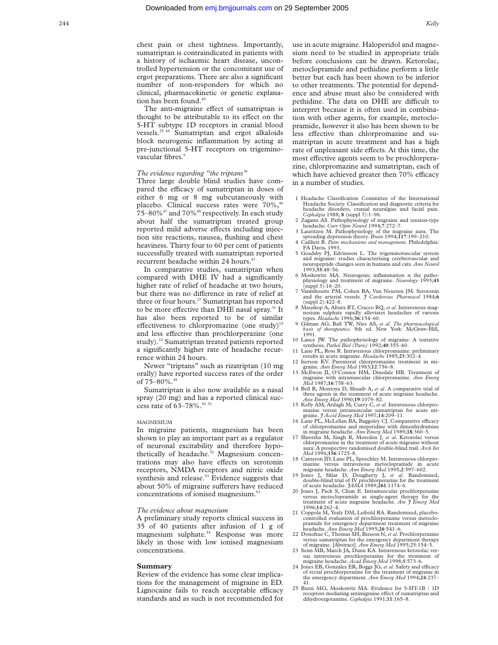The anti-migraine effect of sumatriptan is thought to be attributable to its effect on the 5-HT subtype 1D receptors in cranial blood vessels.25 44 Sumatriptan and ergot alkaloids block neurogenic inflammation by acting at pre-junctional 5-HT receptors on trigeminovascular fibres.<sup>6</sup>

# *The evidence regarding "the triptans"*

Three large double blind studies have compared the efficacy of sumatriptan in doses of either 6 mg or 8 mg subcutaneously with placebo. Clinical success rates were 70%,<sup>46</sup>  $75-80\%$ <sup>47</sup> and  $70\%$ <sup>48</sup> respectively. In each study about half the sumatriptan treated group reported mild adverse effects including injection site reactions, nausea, flushing and chest heaviness. Thirty four to 60 per cent of patients successfully treated with sumatriptan reported recurrent headache within 24 hours.<sup>4</sup>

In comparative studies, sumatriptan when compared with DHE IV had a significantly higher rate of relief of headache at two hours, but there was no difference in rate of relief at three or four hours.<sup>27</sup> Sumatriptan has reported to be more effective than DHE nasal spray.<sup>31</sup> It has also been reported to be of similar effectiveness to chlorpromazine (one study)<sup>15</sup> and less effective than prochlorperazine (one study).<sup>22</sup> Sumatriptan treated patients reported a significantly higher rate of headache recurrence within 24 hours.

Newer "triptans" such as rizatriptan (10 mg orally) have reported success rates of the order of 75–80%.49

Sumatriptan is also now available as a nasal spray (20 mg) and has a reported clinical success rate of 63-78%.<sup>50 51</sup>

#### MAGNESIUM

In migraine patients, magnesium has been shown to play an important part as a regulator of neuronal excitability and therefore hypothetically of headache.<sup>52</sup> Magnesium concentrations may also have effects on serotonin receptors, NMDA receptors and nitric oxide synthesis and release.<sup>53</sup> Evidence suggests that about 50% of migraine sufferers have reduced concentrations of ionised magnesium.<sup>53</sup>

### *The evidence about magnesium*

A preliminary study reports clinical success in 35 of 40 patients after infusion of 1 g of magnesium sulphate.54 Response was more likely in those with low ionised magnesium concentrations.

#### **Summary**

Review of the evidence has some clear implications for the management of migraine in ED. Lignocaine fails to reach acceptable efficacy standards and as such is not recommended for use in acute migraine. Haloperidol and magnesium need to be studied in appropriate trials before conclusions can be drawn. Ketorolac, metoclopramide and pethidine perform a little better but each has been shown to be inferior to other treatments. The potential for dependence and abuse must also be considered with pethidine. The data on DHE are difficult to interpret because it is often used in combination with other agents, for example, metoclopramide, however it also has been shown to be less effective than chlorpromazine and sumatriptan in acute treatment and has a high rate of unpleasant side effects. At this time, the most effective agents seem to be prochlorperazine, chlorpromazine and sumatriptan, each of which have achieved greater then  $70\%$  efficacy in a number of studies.

- 1 Headache Classification Committee of the International Headache Society. Classification and diagnostic criteria for headache disorders, cranial neuralgias and facial pain. *Cephalgia* 1988; **8** (suppl 7):1–96.
- 2 Zagami AS. Pathophysiology of migraine and tension-type headache*. Curr Opin Neurol* 1994;**7**:272–7.
- 3 Lauritzen M. Pathophysiology of the migraine aura. The spreading depression theory. *Brain* 1994;**117**:199–210.
- 4 Cailliett R. *Pain: mechanisms and management.* Philedelphia: FA Davis, 1993.
- 5 Goadsby PJ, Edvinsson L. The trigeminovascular system and migraine: studies characterising cerebrovascular and neuropeptide changes seen in humans and cats. *Ann Neurol* 1993;**33**:48–56.
- 6 Moskowitz MA. Neurogenic inflammation n the pathophysiology and treatment of migraine. *Neurology* 1993;**43** (suppl 3):16–20.
- Vanmhoutte PM, Cohen RA, Van Neueten JM. Serotonin and the arterial vessels. *J Cardiovasc Pharmacol* 1984;**<sup>6</sup>** (suppl 2):422–8.
- 8 Mauskop A, Altura BT, Cracco RQ, *et al*. Intravenous magnesium sulphate rapidly alleviates headaches of various types. *Headache* 1996;**36**:154–60.
- 9 Gilman AG, Rall TW, Nies AS, *et al*. *The pharmacological basis of therapeutics.* 8th ed. New York: McGraw-Hill, 1991.
- 10 Lance JW. The pathophysiology of migraine: A tentative synthesis*. Pathol Biol (Paris)* 1992;**40**:355–60.
- 11 Lane PL, Ross R. Intravenous chlorpromazine: preliminary results in acute migraine. *Headache* 1985;**25**:302–4. 12 Iserson KV. Parenteral chlorpromazine treatment in mi-
- graine. *Ann Emerg Med* 1983;**12**:756–8. 13 McEwen JI, O'Connor HM, Dinsdale HB. Treatment of
- migraine with intramuscular chlorpromazine. *Ann Emerg Med* 1987;**16**:758–63.
- 14 Bell R, Montoya D, Shuaib A, *et al*. A comparative trial of three agents in the treatment of acute migraine headache.<br>Ann Emerg Med 1990;19:1079-82. *Ann Emerg Med* 1990;**19**:1079–82.
- 15 Kelly AM, Ardagh M, Curry C, *et al*. Intravenous chlorpromazine versus intramuscular sumatriptan for acute mi-graine. *J Accid Emerg Med* 1997;**14**:209–11.
- 16 Lane PL, McLellan BA, Baggoley CJ. Comparative efficacy in migraine headache. *Ann Emerg Med* 1989;**18**:360–5.
- 17 Shrestha M, Singh R, Moreden J, *et al*. Ketorolac versus chlorpromazine in the treatment of acute migraine without aura: A prospective randomised double-blind trail. *Arch Int Med* 1996;**156**:1725–8.
- 18 Cameron JD, Lane PL, Speechley M. Intravenous chlorpro-<br>mazine versus intravenous metoclopramide in acute mazine versus intravenous metoclopramide migraine headache. *Ann Emerg Med* 1995;**2**:597–602.
- 19 Jones J, Sklar D, Dougherty J, et al. Randomised,<br>double-blind trial of IV prochlorperazine for the treatment<br>of acute headache.  $fAMM$ 1989;261:1174-6.<br>Jones J, Pack S, Chun E. Intramuscular prochlorperazine<br>versus metoc
- treatment of acute migraine headache. *Am J Emerg Med* 1996;**14**:262–4.
- 21 Coppola M, Yealy DM, Leibold RA. Randomised, placebo-controlled evaluation of prochlorperazine versus metoclopramide for emergency department treatment of migraine headache. *Ann Emerg Med* 1995;**26**:541–6.
- 22 Donohue C, Thomas SH, Benson N,*et al*. Prochlorperazine versus sumatriptan for the emergency department therapy of migraine. [Abstract]. *Ann Emerg Med* 1995;25:154–5.
- 23 Seim MB, March JA, Dunn KA. Intravenous ketorolac versus intravenous prochlorperazine for the treatment of migraine headache. *Acad Emerg Med* 1998;**5**:573–6.
- 24 Jones EB, Gonzalez ER, Boggs JG, et al. Safety and efficacy of rectal prochlorperazine for the treatment of migraine in the emergency department. *Ann Emerg Med* 1994;**24**:237– 41.
- 25 Buzzi MG, Moskowitz MA. Evidence for 5-HT-1B / 1D receptors mediating antimigraine effect of sumatriptan and dihydroergotamine. *Cephalgia* 1991;**11**:165–8.